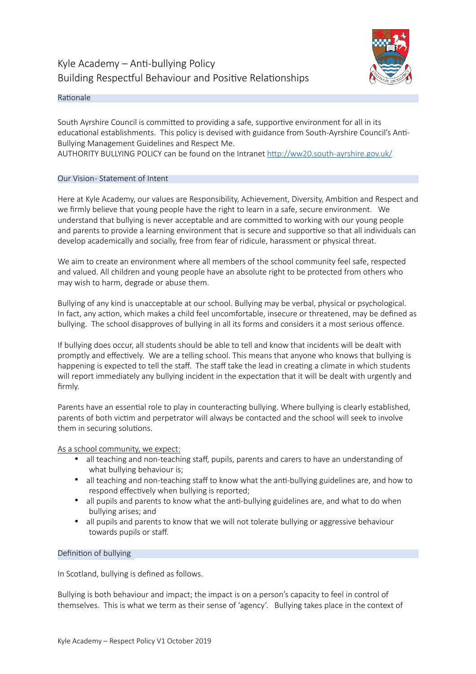# Kyle Academy  $-$  Anti-bullying Policy Building Respectful Behaviour and Positive Relationships



## Rationale

South Ayrshire Council is committed to providing a safe, supportive environment for all in its educational establishments. This policy is devised with guidance from South-Ayrshire Council's Anti-Bullying Management Guidelines and Respect Me.

AUTHORITY BULLYING POLICY can be found on the Intranet http://ww20.south-ayrshire.gov.uk/

# Our Vision-Statement of Intent

Here at Kyle Academy, our values are Responsibility, Achievement, Diversity, Ambition and Respect and we firmly believe that young people have the right to learn in a safe, secure environment. We understand that bullying is never acceptable and are committed to working with our young people and parents to provide a learning environment that is secure and supportive so that all individuals can develop academically and socially, free from fear of ridicule, harassment or physical threat.

We aim to create an environment where all members of the school community feel safe, respected and valued. All children and young people have an absolute right to be protected from others who may wish to harm, degrade or abuse them.

Bullying of any kind is unacceptable at our school. Bullying may be verbal, physical or psychological. In fact, any action, which makes a child feel uncomfortable, insecure or threatened, may be defined as bullying. The school disapproves of bullying in all its forms and considers it a most serious offence.

If bullying does occur, all students should be able to tell and know that incidents will be dealt with promptly and effectively. We are a telling school. This means that anyone who knows that bullying is happening is expected to tell the staff. The staff take the lead in creating a climate in which students will report immediately any bullying incident in the expectation that it will be dealt with urgently and firmly.

Parents have an essential role to play in counteracting bullying. Where bullying is clearly established, parents of both victim and perpetrator will always be contacted and the school will seek to involve them in securing solutions.

As a school community, we expect:

- all teaching and non-teaching staff, pupils, parents and carers to have an understanding of what bullying behaviour is;
- all teaching and non-teaching staff to know what the anti-bullying guidelines are, and how to respond effectively when bullying is reported;
- all pupils and parents to know what the anti-bullying guidelines are, and what to do when bullying arises; and
- all pupils and parents to know that we will not tolerate bullying or aggressive behaviour towards pupils or staff.

## Definition of bullying

In Scotland, bullying is defined as follows.

Bullying is both behaviour and impact; the impact is on a person's capacity to feel in control of themselves. This is what we term as their sense of 'agency'. Bullying takes place in the context of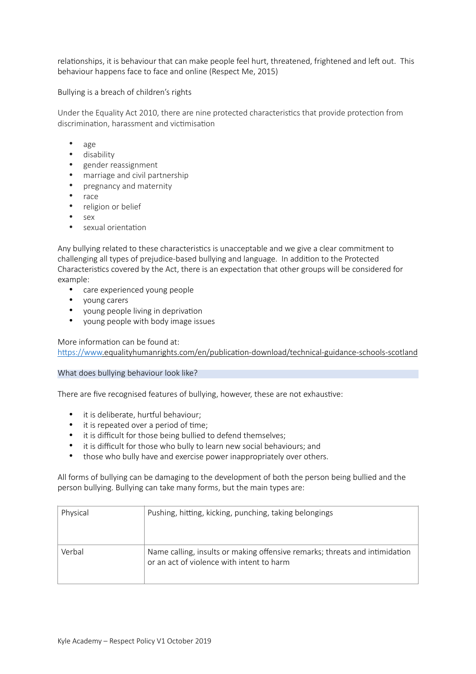relationships, it is behaviour that can make people feel hurt, threatened, frightened and left out. This behaviour happens face to face and online (Respect Me, 2015)

Bullying is a breach of children's rights

Under the Equality Act 2010, there are nine protected characteristics that provide protection from discrimination, harassment and victimisation

- age
- disability
- gender reassignment
- marriage and civil partnership
- pregnancy and maternity
- race
- religion or belief
- sex
- sexual orientation

Any bullying related to these characteristics is unacceptable and we give a clear commitment to challenging all types of prejudice-based bullying and language. In addition to the Protected Characteristics covered by the Act, there is an expectation that other groups will be considered for example:

- care experienced young people
- young carers
- young people living in deprivation
- young people with body image issues

More information can be found at: https://www.equalityhumanrights.com/en/publication-download/technical-guidance-schools-scotland

## What does bullying behaviour look like?

There are five recognised features of bullying, however, these are not exhaustive:

- it is deliberate, hurtful behaviour;
- $\bullet$  it is repeated over a period of time:
- it is difficult for those being bullied to defend themselves;
- it is difficult for those who bully to learn new social behaviours; and
- those who bully have and exercise power inappropriately over others.

All forms of bullying can be damaging to the development of both the person being bullied and the person bullying. Bullying can take many forms, but the main types are:

| Physical | Pushing, hitting, kicking, punching, taking belongings                                                                   |
|----------|--------------------------------------------------------------------------------------------------------------------------|
| Verbal   | Name calling, insults or making offensive remarks; threats and intimidation<br>or an act of violence with intent to harm |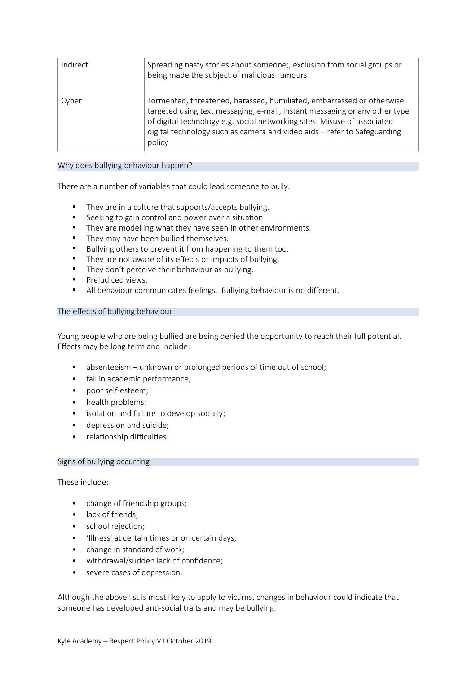| Indirect | Spreading nasty stories about someone;, exclusion from social groups or<br>being made the subject of malicious rumours                                                                                                                                                                                                |
|----------|-----------------------------------------------------------------------------------------------------------------------------------------------------------------------------------------------------------------------------------------------------------------------------------------------------------------------|
| Cyber    | Tormented, threatened, harassed, humiliated, embarrassed or otherwise<br>targeted using text messaging, e-mail, instant messaging or any other type<br>of digital technology e.g. social networking sites. Misuse of associated<br>digital technology such as camera and video aids - refer to Safeguarding<br>policy |

## Why does bullying behaviour happen?

There are a number of variables that could lead someone to bully.

- They are in a culture that supports/accepts bullying.<br>• Seeking to gain control and nower over a situation.
- Seeking to gain control and power over a situation.
- They are modelling what they have seen in other environments.
- They may have been bullied themselves.
- Bullying others to prevent it from happening to them too.
- They are not aware of its effects or impacts of bullying.
- They don't perceive their behaviour as bullying.
- Prejudiced views.
- All behaviour communicates feelings. Bullying behaviour is no different.

#### The effects of bullying behaviour

Young people who are being bullied are being denied the opportunity to reach their full potential. Effects may be long term and include:

- $\bullet$  absenteeism unknown or prolonged periods of time out of school;
- fall in academic performance;
- poor self-esteem;
- health problems;
- isolation and failure to develop socially;
- depression and suicide;
- relationship difficulties.

### Signs of bullying occurring

These include:

- change of friendship groups;
- lack of friends:
- school rejection;
- 'Illness' at certain times or on certain days;
- change in standard of work;
- withdrawal/sudden lack of confidence;
- severe cases of depression.

Although the above list is most likely to apply to victims, changes in behaviour could indicate that someone has developed anti-social traits and may be bullying.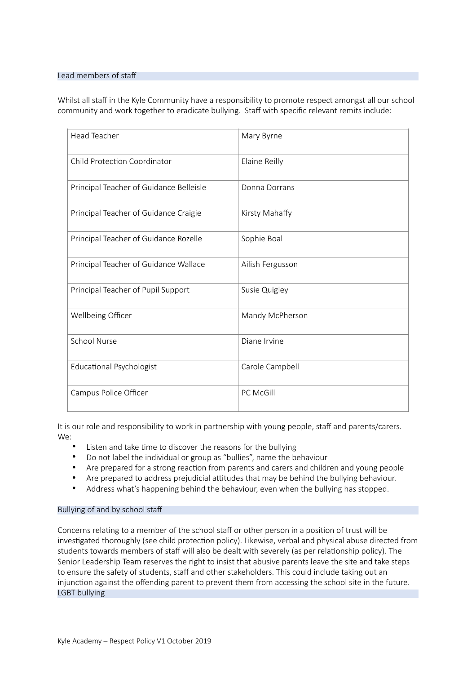#### Lead members of staff

Whilst all staff in the Kyle Community have a responsibility to promote respect amongst all our school community and work together to eradicate bullying. Staff with specific relevant remits include:

| <b>Head Teacher</b>                     | Mary Byrne       |
|-----------------------------------------|------------------|
| <b>Child Protection Coordinator</b>     | Elaine Reilly    |
| Principal Teacher of Guidance Belleisle | Donna Dorrans    |
| Principal Teacher of Guidance Craigie   | Kirsty Mahaffy   |
| Principal Teacher of Guidance Rozelle   | Sophie Boal      |
| Principal Teacher of Guidance Wallace   | Ailish Fergusson |
| Principal Teacher of Pupil Support      | Susie Quigley    |
| Wellbeing Officer                       | Mandy McPherson  |
| <b>School Nurse</b>                     | Diane Irvine     |
| Educational Psychologist                | Carole Campbell  |
| Campus Police Officer                   | PC McGill        |

It is our role and responsibility to work in partnership with young people, staff and parents/carers. We:

- Listen and take time to discover the reasons for the bullying
- Do not label the individual or group as "bullies", name the behaviour
- Are prepared for a strong reaction from parents and carers and children and young people
- Are prepared to address prejudicial attitudes that may be behind the bullying behaviour.
- Address what's happening behind the behaviour, even when the bullying has stopped.

## Bullying of and by school staff

Concerns relating to a member of the school staff or other person in a position of trust will be investigated thoroughly (see child protection policy). Likewise, verbal and physical abuse directed from students towards members of staff will also be dealt with severely (as per relationship policy). The Senior Leadership Team reserves the right to insist that abusive parents leave the site and take steps to ensure the safety of students, staff and other stakeholders. This could include taking out an injunction against the offending parent to prevent them from accessing the school site in the future. LGBT bullying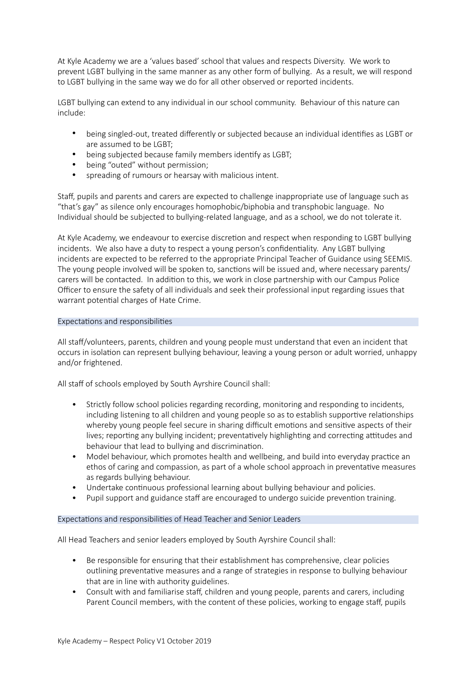At Kyle Academy we are a 'values based' school that values and respects Diversity. We work to prevent LGBT bullying in the same manner as any other form of bullying. As a result, we will respond to LGBT bullying in the same way we do for all other observed or reported incidents.

LGBT bullying can extend to any individual in our school community. Behaviour of this nature can include:

- being singled-out, treated differently or subjected because an individual identifies as LGBT or are assumed to be LGBT;
- being subjected because family members identify as LGBT;
- being "outed" without permission;
- spreading of rumours or hearsay with malicious intent.

Staff, pupils and parents and carers are expected to challenge inappropriate use of language such as "that's gay" as silence only encourages homophobic/biphobia and transphobic language. No Individual should be subjected to bullying-related language, and as a school, we do not tolerate it.

At Kyle Academy, we endeavour to exercise discretion and respect when responding to LGBT bullying incidents. We also have a duty to respect a young person's confidentiality. Any LGBT bullying incidents are expected to be referred to the appropriate Principal Teacher of Guidance using SEEMIS. The young people involved will be spoken to, sanctions will be issued and, where necessary parents/ carers will be contacted. In addition to this, we work in close partnership with our Campus Police Officer to ensure the safety of all individuals and seek their professional input regarding issues that warrant potential charges of Hate Crime.

### Expectations and responsibilities

All staff/volunteers, parents, children and young people must understand that even an incident that occurs in isolation can represent bullying behaviour, leaving a young person or adult worried, unhappy and/or frightened.

All staff of schools employed by South Ayrshire Council shall:

- Strictly follow school policies regarding recording, monitoring and responding to incidents, including listening to all children and young people so as to establish supportive relationships whereby young people feel secure in sharing difficult emotions and sensitive aspects of their lives; reporting any bullying incident; preventatively highlighting and correcting attitudes and behaviour that lead to bullying and discrimination.
- Model behaviour, which promotes health and wellbeing, and build into everyday practice an ethos of caring and compassion, as part of a whole school approach in preventative measures as regards bullying behaviour.
- Undertake continuous professional learning about bullying behaviour and policies.
- Pupil support and guidance staff are encouraged to undergo suicide prevention training.

## Expectations and responsibilities of Head Teacher and Senior Leaders

All Head Teachers and senior leaders employed by South Ayrshire Council shall:

- Be responsible for ensuring that their establishment has comprehensive, clear policies outlining preventative measures and a range of strategies in response to bullying behaviour that are in line with authority guidelines.
- Consult with and familiarise staff, children and young people, parents and carers, including Parent Council members, with the content of these policies, working to engage staff, pupils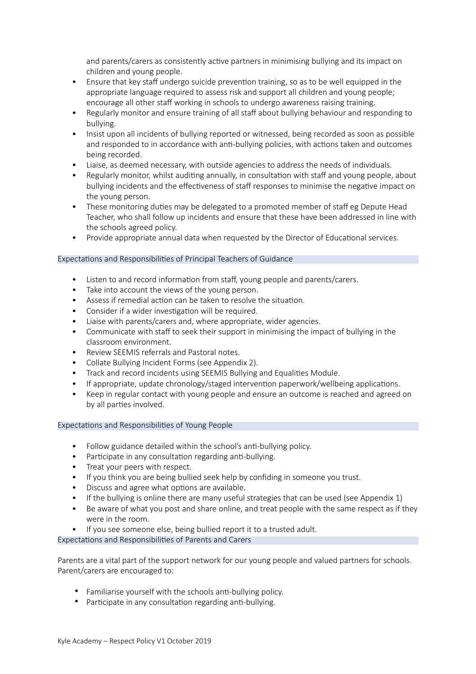and parents/carers as consistently active partners in minimising bullying and its impact on children and young people.

- Ensure that key staff undergo suicide prevention training, so as to be well equipped in the appropriate language required to assess risk and support all children and young people; encourage all other staff working in schools to undergo awareness raising training.
- Regularly monitor and ensure training of all staff about bullying behaviour and responding to bullying.
- Insist upon all incidents of bullying reported or witnessed, being recorded as soon as possible and responded to in accordance with anti-bullying policies, with actions taken and outcomes being recorded.
- Liaise, as deemed necessary, with outside agencies to address the needs of individuals.
- Regularly monitor, whilst auditing annually, in consultation with staff and young people, about bullying incidents and the effectiveness of staff responses to minimise the negative impact on the young person.
- These monitoring duties may be delegated to a promoted member of staff eg Depute Head Teacher, who shall follow up incidents and ensure that these have been addressed in line with the schools agreed policy.
- Provide appropriate annual data when requested by the Director of Educational services.

## Expectations and Responsibilities of Principal Teachers of Guidance

- Listen to and record information from staff, young people and parents/carers.
- Take into account the views of the young person.
- Assess if remedial action can be taken to resolve the situation.
- Consider if a wider investigation will be required.
- Liaise with parents/carers and, where appropriate, wider agencies.
- Communicate with staff to seek their support in minimising the impact of bullying in the classroom environment.
- Review SEEMIS referrals and Pastoral notes.
- Collate Bullying Incident Forms (see Appendix 2).
- Track and record incidents using SEEMIS Bullying and Equalities Module.
- If appropriate, update chronology/staged intervention paperwork/wellbeing applications.
- Keep in regular contact with young people and ensure an outcome is reached and agreed on by all parties involved.

## Expectations and Responsibilities of Young People

- Follow guidance detailed within the school's anti-bullying policy.
- Participate in any consultation regarding anti-bullying.
- Treat your peers with respect.
- If you think you are being bullied seek help by confiding in someone you trust.
- Discuss and agree what options are available.
- If the bullying is online there are many useful strategies that can be used (see Appendix 1)
- Be aware of what you post and share online, and treat people with the same respect as if they were in the room.
- If you see someone else, being bullied report it to a trusted adult.

Expectations and Responsibilities of Parents and Carers

Parents are a vital part of the support network for our young people and valued partners for schools. Parent/carers are encouraged to:

- Familiarise yourself with the schools anti-bullying policy.
- Participate in any consultation regarding anti-bullying.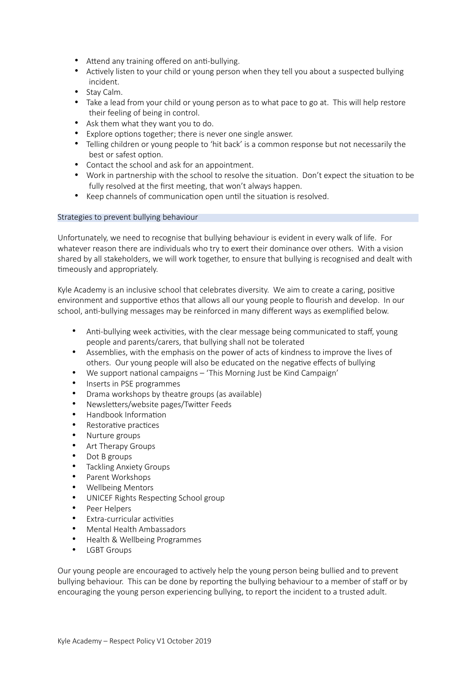- Attend any training offered on anti-bullying.
- Actively listen to your child or young person when they tell you about a suspected bullying incident.
- Stay Calm.
- Take a lead from your child or young person as to what pace to go at. This will help restore their feeling of being in control.
- Ask them what they want you to do.
- Explore options together; there is never one single answer.
- Telling children or young people to 'hit back' is a common response but not necessarily the best or safest option.
- Contact the school and ask for an appointment.
- Work in partnership with the school to resolve the situation. Don't expect the situation to be fully resolved at the first meeting, that won't always happen.
- Keep channels of communication open until the situation is resolved.

### Strategies to prevent bullying behaviour

Unfortunately, we need to recognise that bullying behaviour is evident in every walk of life. For whatever reason there are individuals who try to exert their dominance over others. With a vision shared by all stakeholders, we will work together, to ensure that bullying is recognised and dealt with timeously and appropriately.

Kyle Academy is an inclusive school that celebrates diversity. We aim to create a caring, positive environment and supportive ethos that allows all our young people to flourish and develop. In our school, anti-bullying messages may be reinforced in many different ways as exemplified below.

- Anti-bullying week activities, with the clear message being communicated to staff, young people and parents/carers, that bullying shall not be tolerated
- Assemblies, with the emphasis on the power of acts of kindness to improve the lives of others. Our young people will also be educated on the negative effects of bullying
- We support national campaigns 'This Morning Just be Kind Campaign'
- Inserts in PSE programmes
- Drama workshops by theatre groups (as available)
- Newsletters/website pages/Twitter Feeds
- Handbook Information
- Restorative practices
- Nurture groups
- Art Therapy Groups
- Dot B groups
- Tackling Anxiety Groups
- Parent Workshops
- Wellbeing Mentors
- UNICEF Rights Respecting School group
- Peer Helpers
- **Extra-curricular activities**
- Mental Health Ambassadors
- Health & Wellbeing Programmes
- LGBT Groups

Our young people are encouraged to actively help the young person being bullied and to prevent bullying behaviour. This can be done by reporting the bullying behaviour to a member of staff or by encouraging the young person experiencing bullying, to report the incident to a trusted adult.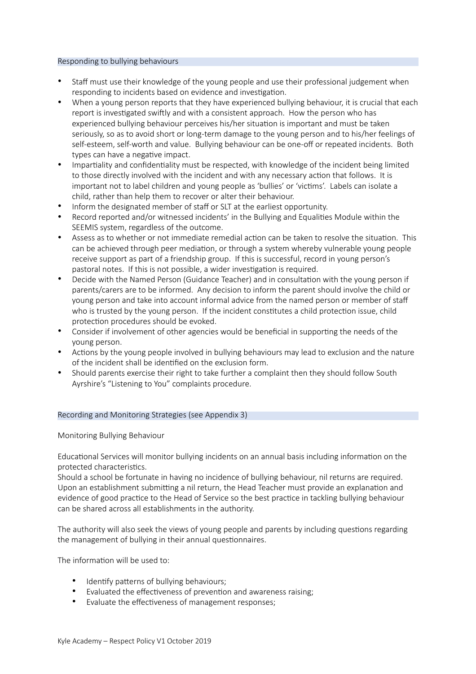## Responding to bullying behaviours

- Staff must use their knowledge of the young people and use their professional judgement when responding to incidents based on evidence and investigation.
- When a young person reports that they have experienced bullying behaviour, it is crucial that each report is investigated swiftly and with a consistent approach. How the person who has experienced bullying behaviour perceives his/her situation is important and must be taken seriously, so as to avoid short or long-term damage to the young person and to his/her feelings of self-esteem, self-worth and value. Bullying behaviour can be one-off or repeated incidents. Both types can have a negative impact.
- Impartiality and confidentiality must be respected, with knowledge of the incident being limited to those directly involved with the incident and with any necessary action that follows. It is important not to label children and young people as 'bullies' or 'victims'. Labels can isolate a child, rather than help them to recover or alter their behaviour.
- Inform the designated member of staff or SLT at the earliest opportunity.
- Record reported and/or witnessed incidents' in the Bullying and Equalities Module within the SEEMIS system, regardless of the outcome.
- Assess as to whether or not immediate remedial action can be taken to resolve the situation. This can be achieved through peer mediation, or through a system whereby vulnerable young people receive support as part of a friendship group. If this is successful, record in young person's pastoral notes. If this is not possible, a wider investigation is required.
- Decide with the Named Person (Guidance Teacher) and in consultation with the young person if parents/carers are to be informed. Any decision to inform the parent should involve the child or young person and take into account informal advice from the named person or member of staff who is trusted by the young person. If the incident constitutes a child protection issue, child protection procedures should be evoked.
- Consider if involvement of other agencies would be beneficial in supporting the needs of the young person.
- Actions by the young people involved in bullying behaviours may lead to exclusion and the nature of the incident shall be identified on the exclusion form.
- Should parents exercise their right to take further a complaint then they should follow South Ayrshire's "Listening to You" complaints procedure.

## Recording and Monitoring Strategies (see Appendix 3)

Monitoring Bullying Behaviour

Educational Services will monitor bullying incidents on an annual basis including information on the protected characteristics.

Should a school be fortunate in having no incidence of bullying behaviour, nil returns are required. Upon an establishment submitting a nil return, the Head Teacher must provide an explanation and evidence of good practice to the Head of Service so the best practice in tackling bullying behaviour can be shared across all establishments in the authority.

The authority will also seek the views of young people and parents by including questions regarding the management of bullying in their annual questionnaires.

The information will be used to:

- Identify patterns of bullying behaviours;
- Evaluated the effectiveness of prevention and awareness raising;
- Evaluate the effectiveness of management responses;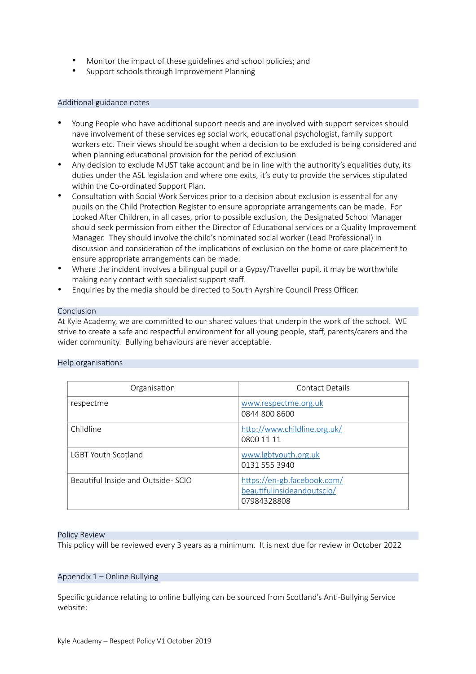- Monitor the impact of these guidelines and school policies; and
- Support schools through Improvement Planning

### Additional guidance notes

- Young People who have additional support needs and are involved with support services should have involvement of these services eg social work, educational psychologist, family support workers etc. Their views should be sought when a decision to be excluded is being considered and when planning educational provision for the period of exclusion
- Any decision to exclude MUST take account and be in line with the authority's equalities duty, its duties under the ASL legislation and where one exits, it's duty to provide the services stipulated within the Co-ordinated Support Plan.
- Consultation with Social Work Services prior to a decision about exclusion is essential for any pupils on the Child Protection Register to ensure appropriate arrangements can be made. For Looked After Children, in all cases, prior to possible exclusion, the Designated School Manager should seek permission from either the Director of Educational services or a Quality Improvement Manager. They should involve the child's nominated social worker (Lead Professional) in discussion and consideration of the implications of exclusion on the home or care placement to ensure appropriate arrangements can be made.
- Where the incident involves a bilingual pupil or a Gypsy/Traveller pupil, it may be worthwhile making early contact with specialist support staff.
- Enquiries by the media should be directed to South Ayrshire Council Press Officer.

#### Conclusion

At Kyle Academy, we are committed to our shared values that underpin the work of the school. WE strive to create a safe and respectful environment for all young people, staff, parents/carers and the wider community. Bullying behaviours are never acceptable.

|  | Help organisations |
|--|--------------------|
|--|--------------------|

| Organisation                      | Contact Details                                                          |
|-----------------------------------|--------------------------------------------------------------------------|
| respectme                         | www.respectme.org.uk<br>0844 800 8600                                    |
| Childline                         | http://www.childline.org.uk/<br>0800 11 11                               |
| <b>LGBT Youth Scotland</b>        | www.lgbtyouth.org.uk<br>0131 555 3940                                    |
| Beautiful Inside and Outside-SCIO | https://en-gb.facebook.com/<br>beautifulinsideandoutscio/<br>07984328808 |

#### Policy Review

This policy will be reviewed every 3 years as a minimum. It is next due for review in October 2022

# Appendix 1 – Online Bullying

Specific guidance relating to online bullying can be sourced from Scotland's Anti-Bullying Service website: